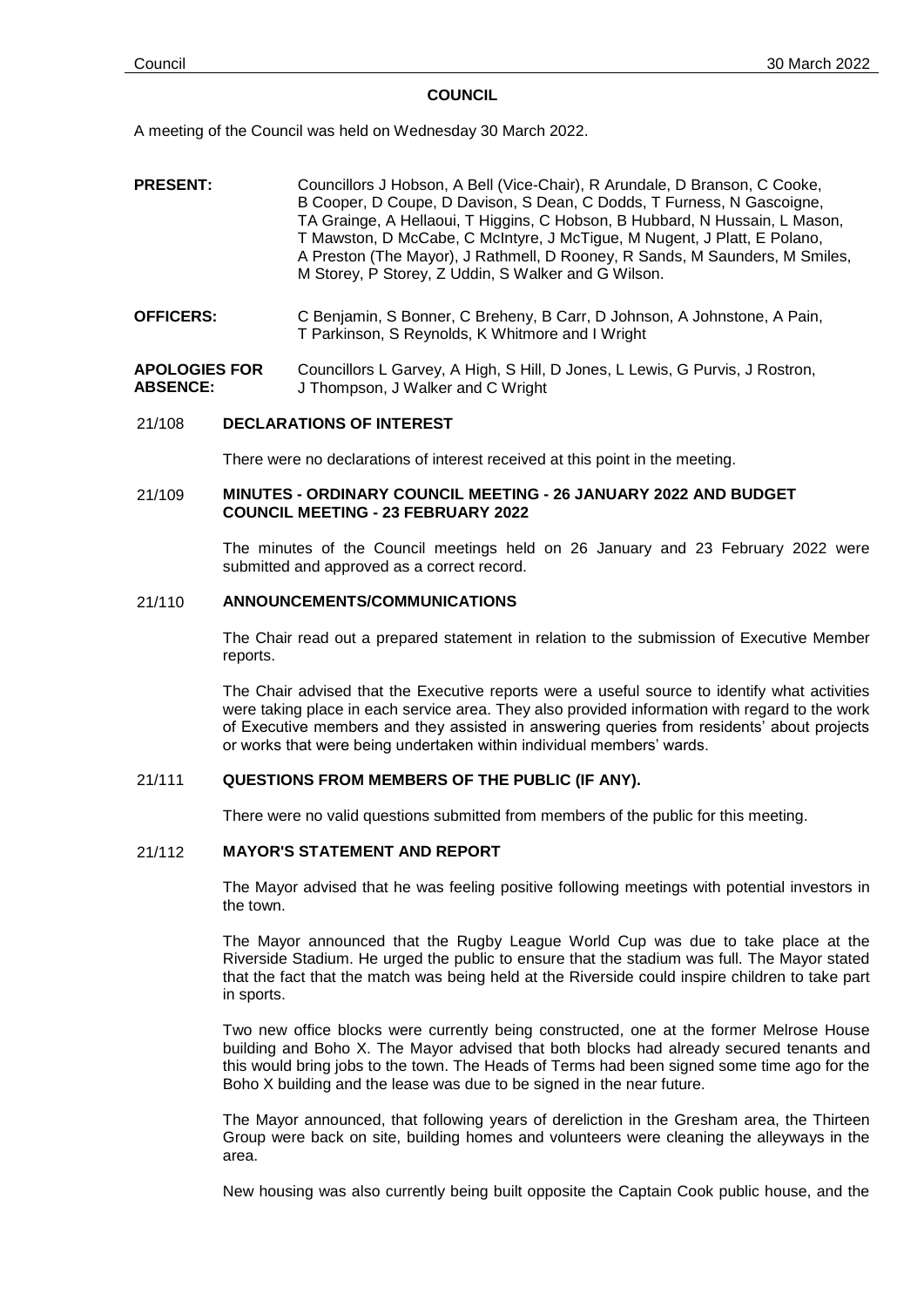#### **COUNCIL**

A meeting of the Council was held on Wednesday 30 March 2022.

- **PRESENT:** Councillors J Hobson, A Bell (Vice-Chair), R Arundale, D Branson, C Cooke, B Cooper, D Coupe, D Davison, S Dean, C Dodds, T Furness, N Gascoigne, TA Grainge, A Hellaoui, T Higgins, C Hobson, B Hubbard, N Hussain, L Mason, T Mawston, D McCabe, C McIntyre, J McTigue, M Nugent, J Platt, E Polano, A Preston (The Mayor), J Rathmell, D Rooney, R Sands, M Saunders, M Smiles, M Storey, P Storey, Z Uddin, S Walker and G Wilson.
- **OFFICERS:** C Benjamin, S Bonner, C Breheny, B Carr, D Johnson, A Johnstone, A Pain, T Parkinson, S Reynolds, K Whitmore and I Wright

#### **APOLOGIES FOR ABSENCE:** Councillors L Garvey, A High, S Hill, D Jones, L Lewis, G Purvis, J Rostron, J Thompson, J Walker and C Wright

## 21/108 **DECLARATIONS OF INTEREST**

There were no declarations of interest received at this point in the meeting.

## 21/109 **MINUTES - ORDINARY COUNCIL MEETING - 26 JANUARY 2022 AND BUDGET COUNCIL MEETING - 23 FEBRUARY 2022**

The minutes of the Council meetings held on 26 January and 23 February 2022 were submitted and approved as a correct record.

## 21/110 **ANNOUNCEMENTS/COMMUNICATIONS**

The Chair read out a prepared statement in relation to the submission of Executive Member reports.

The Chair advised that the Executive reports were a useful source to identify what activities were taking place in each service area. They also provided information with regard to the work of Executive members and they assisted in answering queries from residents' about projects or works that were being undertaken within individual members' wards.

## 21/111 **QUESTIONS FROM MEMBERS OF THE PUBLIC (IF ANY).**

There were no valid questions submitted from members of the public for this meeting.

## 21/112 **MAYOR'S STATEMENT AND REPORT**

The Mayor advised that he was feeling positive following meetings with potential investors in the town.

The Mayor announced that the Rugby League World Cup was due to take place at the Riverside Stadium. He urged the public to ensure that the stadium was full. The Mayor stated that the fact that the match was being held at the Riverside could inspire children to take part in sports.

Two new office blocks were currently being constructed, one at the former Melrose House building and Boho X. The Mayor advised that both blocks had already secured tenants and this would bring jobs to the town. The Heads of Terms had been signed some time ago for the Boho X building and the lease was due to be signed in the near future.

The Mayor announced, that following years of dereliction in the Gresham area, the Thirteen Group were back on site, building homes and volunteers were cleaning the alleyways in the area.

New housing was also currently being built opposite the Captain Cook public house, and the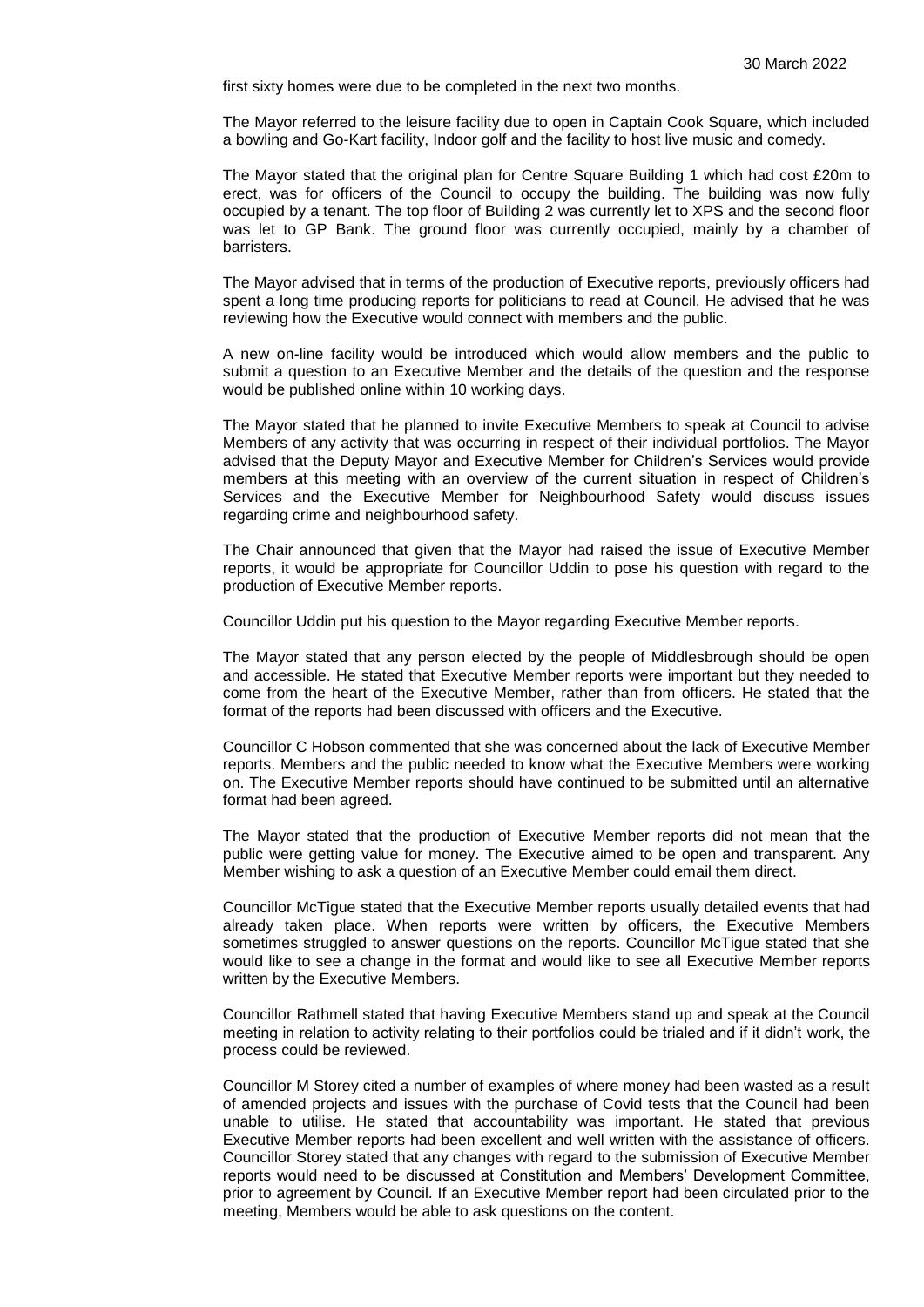first sixty homes were due to be completed in the next two months.

The Mayor referred to the leisure facility due to open in Captain Cook Square, which included a bowling and Go-Kart facility, Indoor golf and the facility to host live music and comedy.

The Mayor stated that the original plan for Centre Square Building 1 which had cost £20m to erect, was for officers of the Council to occupy the building. The building was now fully occupied by a tenant. The top floor of Building 2 was currently let to XPS and the second floor was let to GP Bank. The ground floor was currently occupied, mainly by a chamber of barristers.

The Mayor advised that in terms of the production of Executive reports, previously officers had spent a long time producing reports for politicians to read at Council. He advised that he was reviewing how the Executive would connect with members and the public.

A new on-line facility would be introduced which would allow members and the public to submit a question to an Executive Member and the details of the question and the response would be published online within 10 working days.

The Mayor stated that he planned to invite Executive Members to speak at Council to advise Members of any activity that was occurring in respect of their individual portfolios. The Mayor advised that the Deputy Mayor and Executive Member for Children's Services would provide members at this meeting with an overview of the current situation in respect of Children's Services and the Executive Member for Neighbourhood Safety would discuss issues regarding crime and neighbourhood safety.

The Chair announced that given that the Mayor had raised the issue of Executive Member reports, it would be appropriate for Councillor Uddin to pose his question with regard to the production of Executive Member reports.

Councillor Uddin put his question to the Mayor regarding Executive Member reports.

The Mayor stated that any person elected by the people of Middlesbrough should be open and accessible. He stated that Executive Member reports were important but they needed to come from the heart of the Executive Member, rather than from officers. He stated that the format of the reports had been discussed with officers and the Executive.

Councillor C Hobson commented that she was concerned about the lack of Executive Member reports. Members and the public needed to know what the Executive Members were working on. The Executive Member reports should have continued to be submitted until an alternative format had been agreed.

The Mayor stated that the production of Executive Member reports did not mean that the public were getting value for money. The Executive aimed to be open and transparent. Any Member wishing to ask a question of an Executive Member could email them direct.

Councillor McTigue stated that the Executive Member reports usually detailed events that had already taken place. When reports were written by officers, the Executive Members sometimes struggled to answer questions on the reports. Councillor McTigue stated that she would like to see a change in the format and would like to see all Executive Member reports written by the Executive Members.

Councillor Rathmell stated that having Executive Members stand up and speak at the Council meeting in relation to activity relating to their portfolios could be trialed and if it didn't work, the process could be reviewed.

Councillor M Storey cited a number of examples of where money had been wasted as a result of amended projects and issues with the purchase of Covid tests that the Council had been unable to utilise. He stated that accountability was important. He stated that previous Executive Member reports had been excellent and well written with the assistance of officers. Councillor Storey stated that any changes with regard to the submission of Executive Member reports would need to be discussed at Constitution and Members' Development Committee, prior to agreement by Council. If an Executive Member report had been circulated prior to the meeting, Members would be able to ask questions on the content.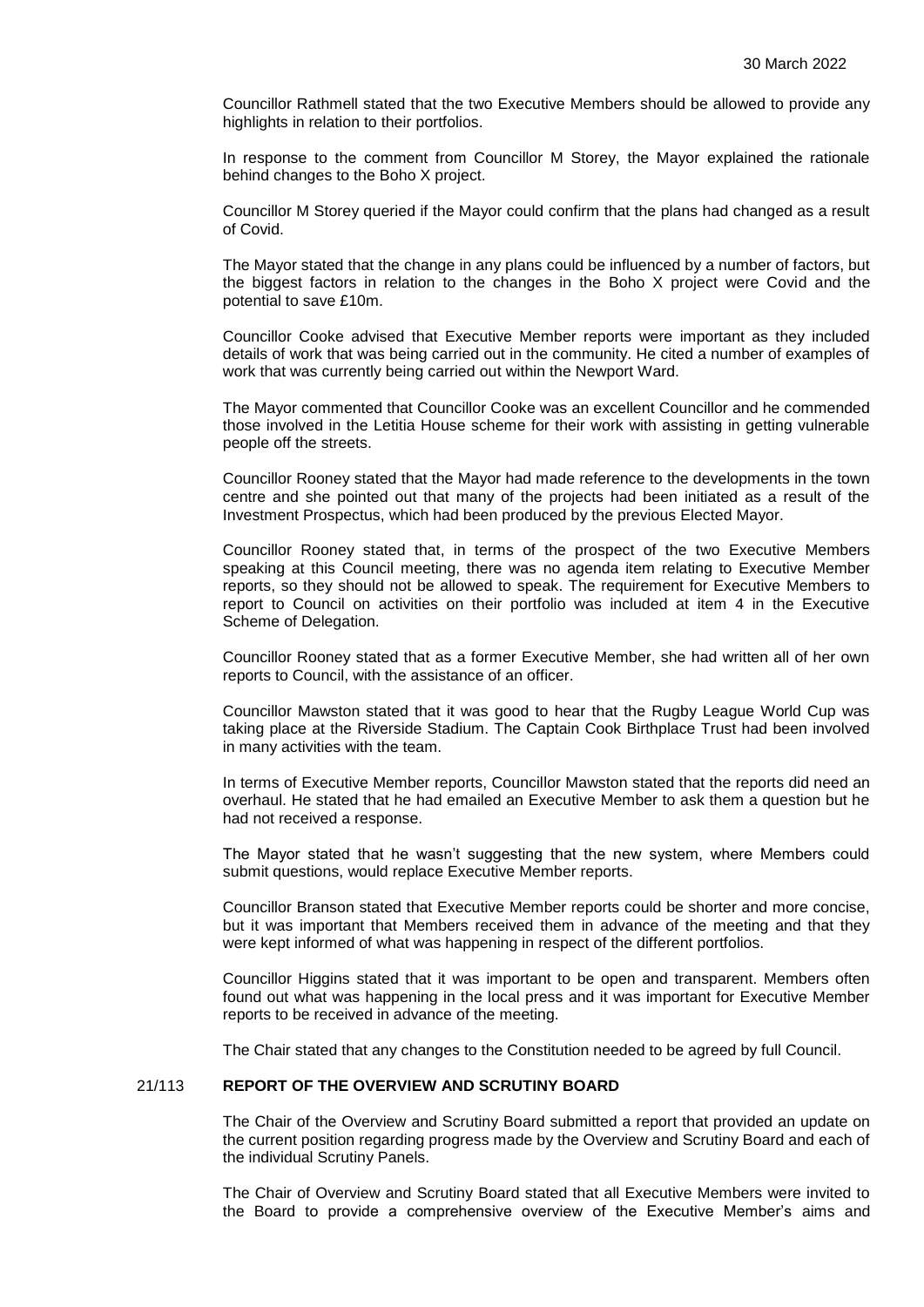Councillor Rathmell stated that the two Executive Members should be allowed to provide any highlights in relation to their portfolios.

In response to the comment from Councillor M Storey, the Mayor explained the rationale behind changes to the Boho X project.

Councillor M Storey queried if the Mayor could confirm that the plans had changed as a result of Covid.

The Mayor stated that the change in any plans could be influenced by a number of factors, but the biggest factors in relation to the changes in the Boho X project were Covid and the potential to save £10m.

Councillor Cooke advised that Executive Member reports were important as they included details of work that was being carried out in the community. He cited a number of examples of work that was currently being carried out within the Newport Ward.

The Mayor commented that Councillor Cooke was an excellent Councillor and he commended those involved in the Letitia House scheme for their work with assisting in getting vulnerable people off the streets.

Councillor Rooney stated that the Mayor had made reference to the developments in the town centre and she pointed out that many of the projects had been initiated as a result of the Investment Prospectus, which had been produced by the previous Elected Mayor.

Councillor Rooney stated that, in terms of the prospect of the two Executive Members speaking at this Council meeting, there was no agenda item relating to Executive Member reports, so they should not be allowed to speak. The requirement for Executive Members to report to Council on activities on their portfolio was included at item 4 in the Executive Scheme of Delegation.

Councillor Rooney stated that as a former Executive Member, she had written all of her own reports to Council, with the assistance of an officer.

Councillor Mawston stated that it was good to hear that the Rugby League World Cup was taking place at the Riverside Stadium. The Captain Cook Birthplace Trust had been involved in many activities with the team.

In terms of Executive Member reports, Councillor Mawston stated that the reports did need an overhaul. He stated that he had emailed an Executive Member to ask them a question but he had not received a response.

The Mayor stated that he wasn't suggesting that the new system, where Members could submit questions, would replace Executive Member reports.

Councillor Branson stated that Executive Member reports could be shorter and more concise, but it was important that Members received them in advance of the meeting and that they were kept informed of what was happening in respect of the different portfolios.

Councillor Higgins stated that it was important to be open and transparent. Members often found out what was happening in the local press and it was important for Executive Member reports to be received in advance of the meeting.

The Chair stated that any changes to the Constitution needed to be agreed by full Council.

#### 21/113 **REPORT OF THE OVERVIEW AND SCRUTINY BOARD**

The Chair of the Overview and Scrutiny Board submitted a report that provided an update on the current position regarding progress made by the Overview and Scrutiny Board and each of the individual Scrutiny Panels.

The Chair of Overview and Scrutiny Board stated that all Executive Members were invited to the Board to provide a comprehensive overview of the Executive Member's aims and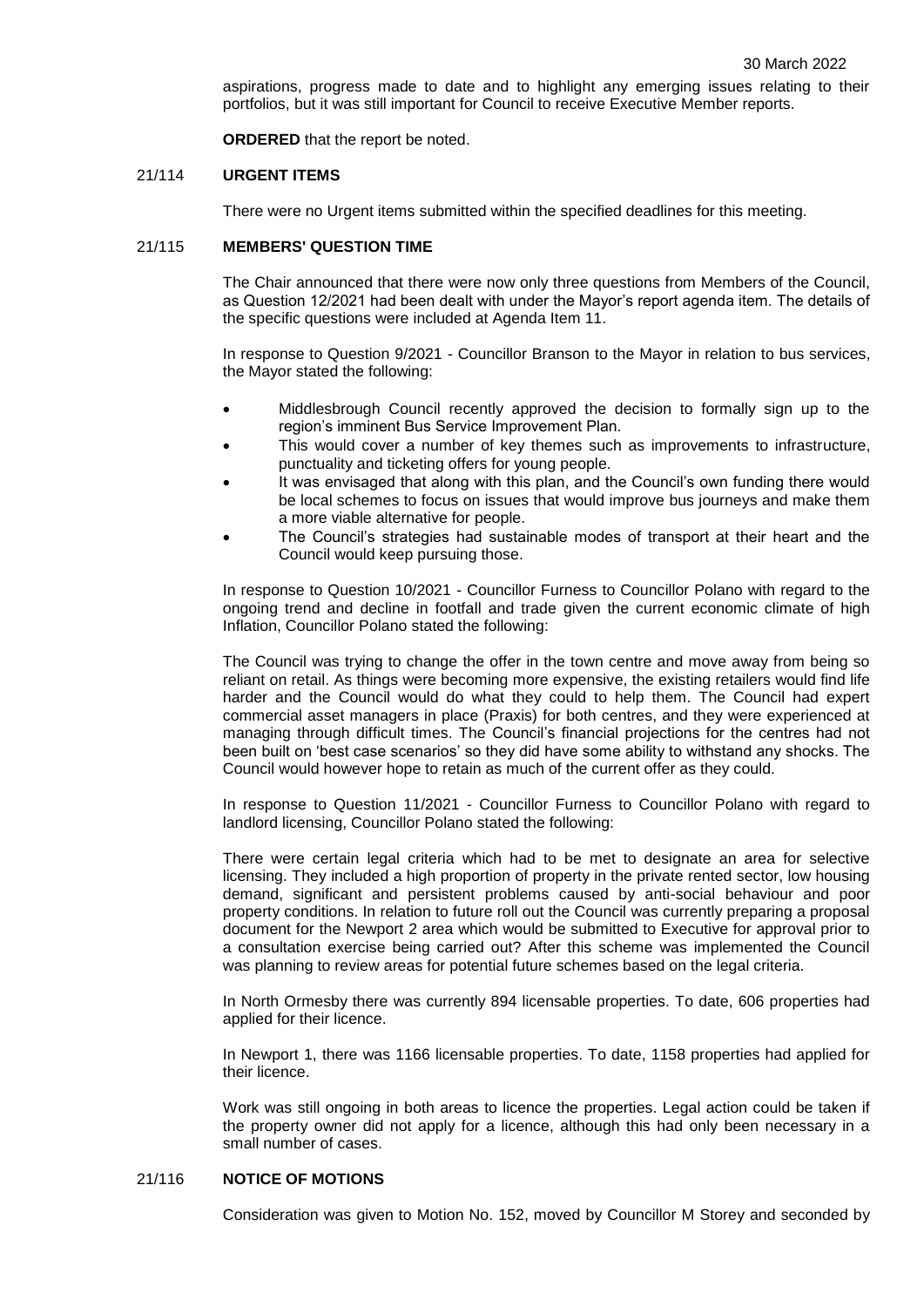aspirations, progress made to date and to highlight any emerging issues relating to their portfolios, but it was still important for Council to receive Executive Member reports.

**ORDERED** that the report be noted.

### 21/114 **URGENT ITEMS**

There were no Urgent items submitted within the specified deadlines for this meeting.

### 21/115 **MEMBERS' QUESTION TIME**

The Chair announced that there were now only three questions from Members of the Council, as Question 12/2021 had been dealt with under the Mayor's report agenda item. The details of the specific questions were included at Agenda Item 11.

In response to Question 9/2021 - Councillor Branson to the Mayor in relation to bus services, the Mayor stated the following:

- Middlesbrough Council recently approved the decision to formally sign up to the region's imminent Bus Service Improvement Plan.
- This would cover a number of key themes such as improvements to infrastructure, punctuality and ticketing offers for young people.
- It was envisaged that along with this plan, and the Council's own funding there would be local schemes to focus on issues that would improve bus journeys and make them a more viable alternative for people.
- The Council's strategies had sustainable modes of transport at their heart and the Council would keep pursuing those.

In response to Question 10/2021 - Councillor Furness to Councillor Polano with regard to the ongoing trend and decline in footfall and trade given the current economic climate of high Inflation, Councillor Polano stated the following:

The Council was trying to change the offer in the town centre and move away from being so reliant on retail. As things were becoming more expensive, the existing retailers would find life harder and the Council would do what they could to help them. The Council had expert commercial asset managers in place (Praxis) for both centres, and they were experienced at managing through difficult times. The Council's financial projections for the centres had not been built on 'best case scenarios' so they did have some ability to withstand any shocks. The Council would however hope to retain as much of the current offer as they could.

In response to Question 11/2021 - Councillor Furness to Councillor Polano with regard to landlord licensing, Councillor Polano stated the following:

There were certain legal criteria which had to be met to designate an area for selective licensing. They included a high proportion of property in the private rented sector, low housing demand, significant and persistent problems caused by anti-social behaviour and poor property conditions. In relation to future roll out the Council was currently preparing a proposal document for the Newport 2 area which would be submitted to Executive for approval prior to a consultation exercise being carried out? After this scheme was implemented the Council was planning to review areas for potential future schemes based on the legal criteria.

In North Ormesby there was currently 894 licensable properties. To date, 606 properties had applied for their licence.

In Newport 1, there was 1166 licensable properties. To date, 1158 properties had applied for their licence.

Work was still ongoing in both areas to licence the properties. Legal action could be taken if the property owner did not apply for a licence, although this had only been necessary in a small number of cases.

## 21/116 **NOTICE OF MOTIONS**

Consideration was given to Motion No. 152, moved by Councillor M Storey and seconded by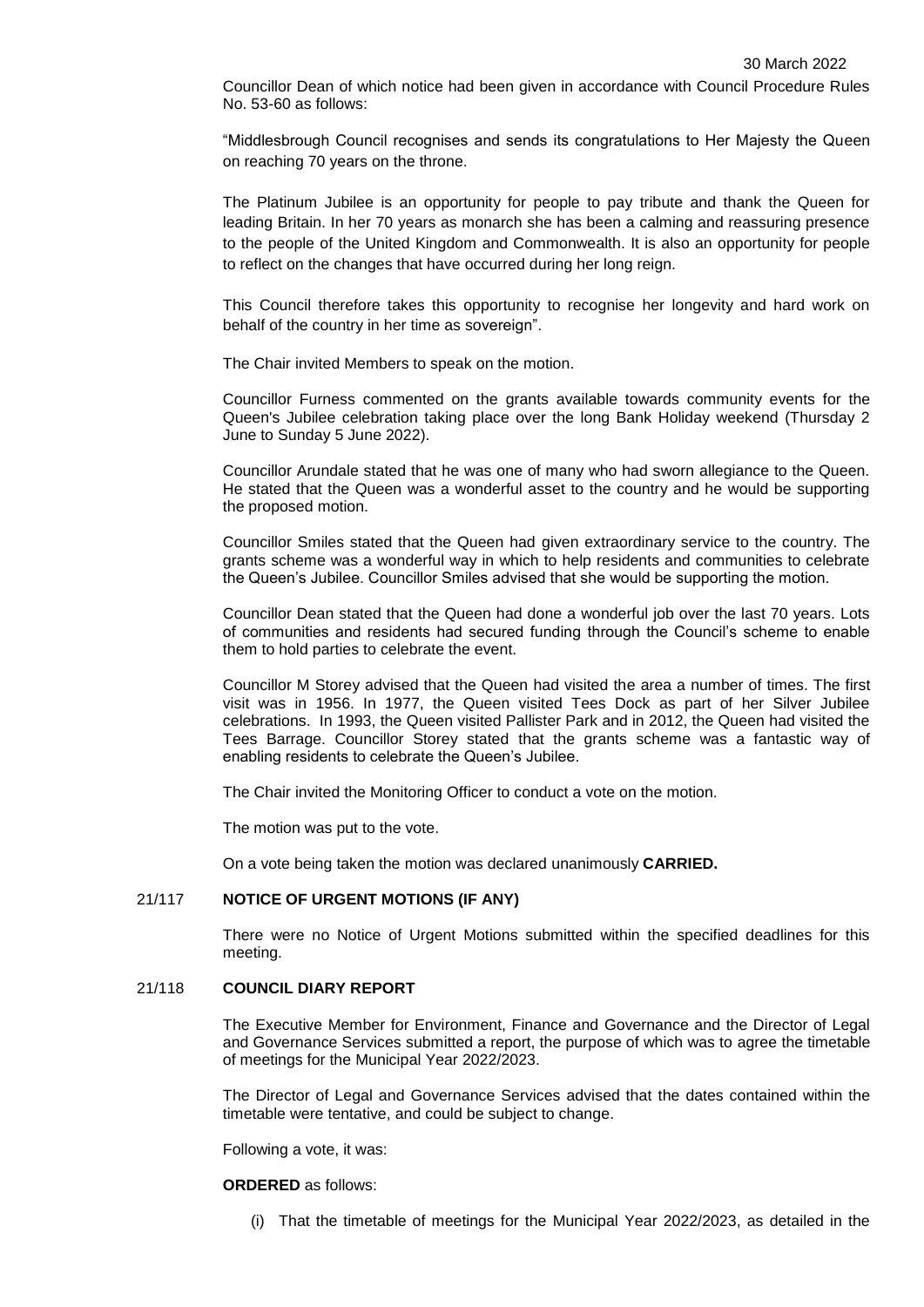Councillor Dean of which notice had been given in accordance with Council Procedure Rules No. 53-60 as follows:

"Middlesbrough Council recognises and sends its congratulations to Her Majesty the Queen on reaching 70 years on the throne.

The Platinum Jubilee is an opportunity for people to pay tribute and thank the Queen for leading Britain. In her 70 years as monarch she has been a calming and reassuring presence to the people of the United Kingdom and Commonwealth. It is also an opportunity for people to reflect on the changes that have occurred during her long reign.

This Council therefore takes this opportunity to recognise her longevity and hard work on behalf of the country in her time as sovereign".

The Chair invited Members to speak on the motion.

Councillor Furness commented on the grants available towards community events for the Queen's Jubilee celebration taking place over the long Bank Holiday weekend (Thursday 2 June to Sunday 5 June 2022).

Councillor Arundale stated that he was one of many who had sworn allegiance to the Queen. He stated that the Queen was a wonderful asset to the country and he would be supporting the proposed motion.

Councillor Smiles stated that the Queen had given extraordinary service to the country. The grants scheme was a wonderful way in which to help residents and communities to celebrate the Queen's Jubilee. Councillor Smiles advised that she would be supporting the motion.

Councillor Dean stated that the Queen had done a wonderful job over the last 70 years. Lots of communities and residents had secured funding through the Council's scheme to enable them to hold parties to celebrate the event.

Councillor M Storey advised that the Queen had visited the area a number of times. The first visit was in 1956. In 1977, the Queen visited Tees Dock as part of her Silver Jubilee celebrations. In 1993, the Queen visited Pallister Park and in 2012, the Queen had visited the Tees Barrage. Councillor Storey stated that the grants scheme was a fantastic way of enabling residents to celebrate the Queen's Jubilee.

The Chair invited the Monitoring Officer to conduct a vote on the motion.

The motion was put to the vote.

On a vote being taken the motion was declared unanimously **CARRIED.**

## 21/117 **NOTICE OF URGENT MOTIONS (IF ANY)**

There were no Notice of Urgent Motions submitted within the specified deadlines for this meeting.

### 21/118 **COUNCIL DIARY REPORT**

The Executive Member for Environment, Finance and Governance and the Director of Legal and Governance Services submitted a report, the purpose of which was to agree the timetable of meetings for the Municipal Year 2022/2023.

The Director of Legal and Governance Services advised that the dates contained within the timetable were tentative, and could be subject to change.

Following a vote, it was:

**ORDERED** as follows:

(i) That the timetable of meetings for the Municipal Year 2022/2023, as detailed in the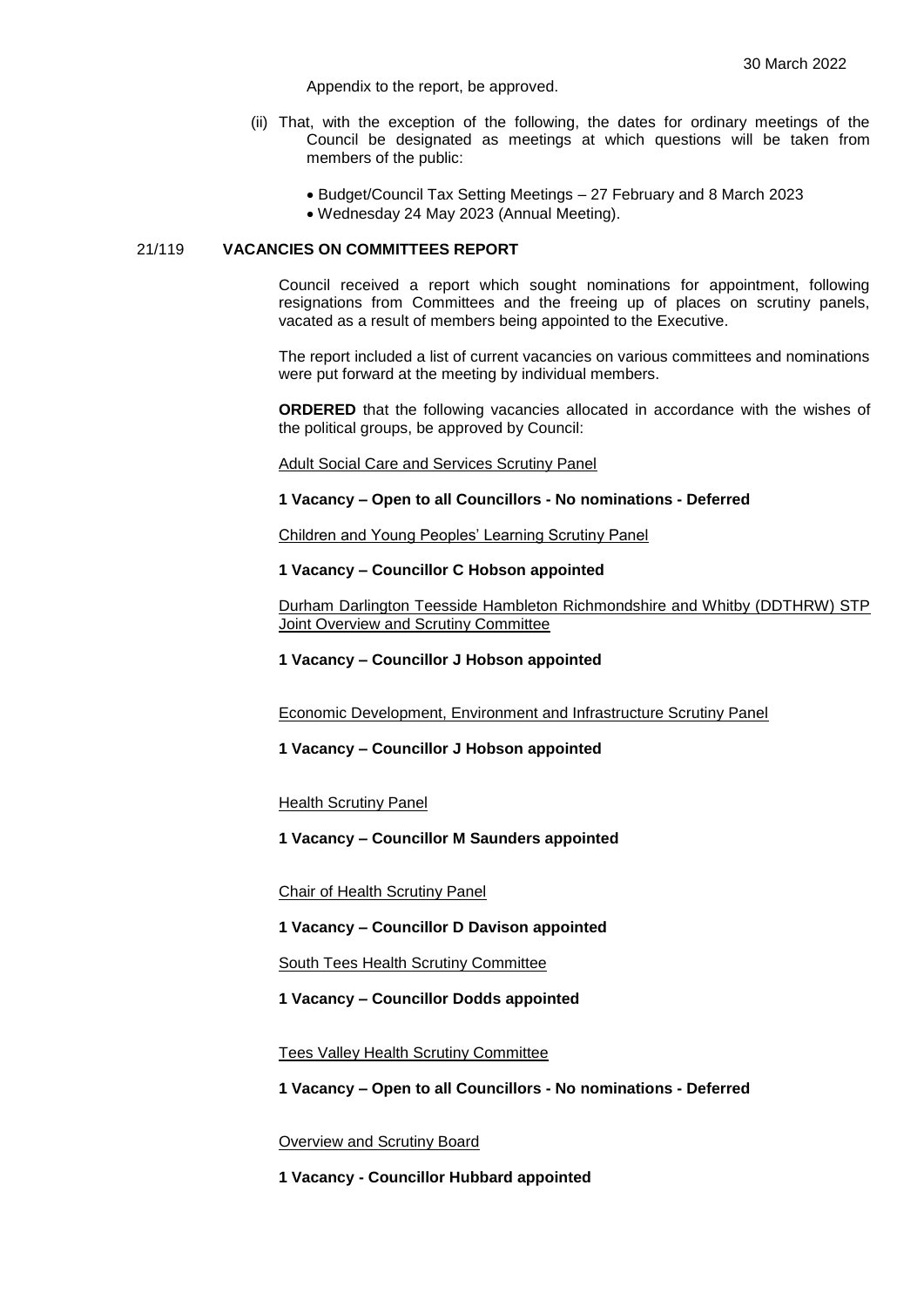Appendix to the report, be approved.

- (ii) That, with the exception of the following, the dates for ordinary meetings of the Council be designated as meetings at which questions will be taken from members of the public:
	- Budget/Council Tax Setting Meetings 27 February and 8 March 2023
	- Wednesday 24 May 2023 (Annual Meeting).

## 21/119 **VACANCIES ON COMMITTEES REPORT**

Council received a report which sought nominations for appointment, following resignations from Committees and the freeing up of places on scrutiny panels, vacated as a result of members being appointed to the Executive.

The report included a list of current vacancies on various committees and nominations were put forward at the meeting by individual members.

**ORDERED** that the following vacancies allocated in accordance with the wishes of the political groups, be approved by Council:

Adult Social Care and Services Scrutiny Panel

#### **1 Vacancy – Open to all Councillors - No nominations - Deferred**

Children and Young Peoples' Learning Scrutiny Panel

### **1 Vacancy – Councillor C Hobson appointed**

Durham Darlington Teesside Hambleton Richmondshire and Whitby (DDTHRW) STP Joint Overview and Scrutiny Committee

**1 Vacancy – Councillor J Hobson appointed**

Economic Development, Environment and Infrastructure Scrutiny Panel

**1 Vacancy – Councillor J Hobson appointed**

Health Scrutiny Panel

**1 Vacancy – Councillor M Saunders appointed**

Chair of Health Scrutiny Panel

**1 Vacancy – Councillor D Davison appointed**

South Tees Health Scrutiny Committee

**1 Vacancy – Councillor Dodds appointed**

Tees Valley Health Scrutiny Committee

**1 Vacancy – Open to all Councillors - No nominations - Deferred**

Overview and Scrutiny Board

**1 Vacancy - Councillor Hubbard appointed**